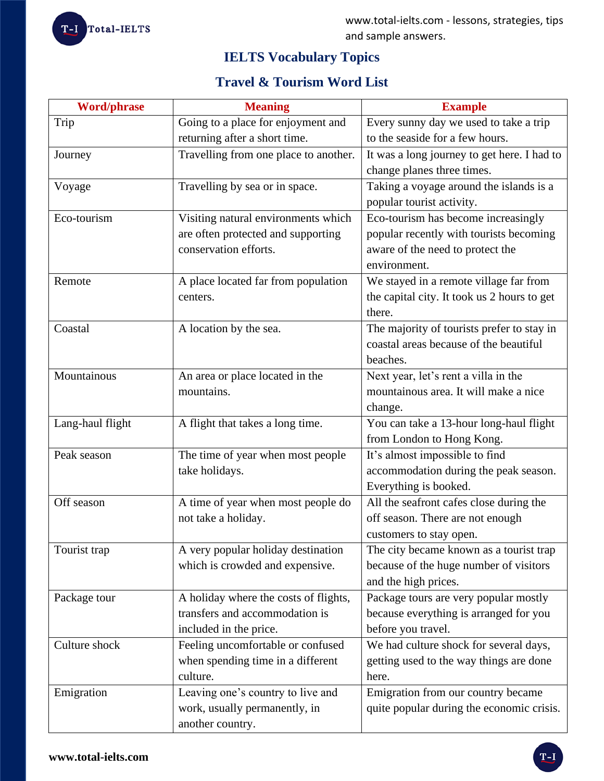

# **IELTS Vocabulary Topics**

# **Travel & Tourism Word List**

| <b>Word/phrase</b> | <b>Meaning</b>                        | <b>Example</b>                              |
|--------------------|---------------------------------------|---------------------------------------------|
| Trip               | Going to a place for enjoyment and    | Every sunny day we used to take a trip      |
|                    | returning after a short time.         | to the seaside for a few hours.             |
| Journey            | Travelling from one place to another. | It was a long journey to get here. I had to |
|                    |                                       | change planes three times.                  |
| Voyage             | Travelling by sea or in space.        | Taking a voyage around the islands is a     |
|                    |                                       | popular tourist activity.                   |
| Eco-tourism        | Visiting natural environments which   | Eco-tourism has become increasingly         |
|                    | are often protected and supporting    | popular recently with tourists becoming     |
|                    | conservation efforts.                 | aware of the need to protect the            |
|                    |                                       | environment.                                |
| Remote             | A place located far from population   | We stayed in a remote village far from      |
|                    | centers.                              | the capital city. It took us 2 hours to get |
|                    |                                       | there.                                      |
| Coastal            | A location by the sea.                | The majority of tourists prefer to stay in  |
|                    |                                       | coastal areas because of the beautiful      |
|                    |                                       | beaches.                                    |
| Mountainous        | An area or place located in the       | Next year, let's rent a villa in the        |
|                    | mountains.                            | mountainous area. It will make a nice       |
|                    |                                       | change.                                     |
| Lang-haul flight   | A flight that takes a long time.      | You can take a 13-hour long-haul flight     |
|                    |                                       | from London to Hong Kong.                   |
| Peak season        | The time of year when most people     | It's almost impossible to find              |
|                    | take holidays.                        | accommodation during the peak season.       |
|                    |                                       | Everything is booked.                       |
| Off season         | A time of year when most people do    | All the seafront cafes close during the     |
|                    | not take a holiday.                   | off season. There are not enough            |
|                    |                                       | customers to stay open.                     |
| Tourist trap       | A very popular holiday destination    | The city became known as a tourist trap     |
|                    | which is crowded and expensive.       | because of the huge number of visitors      |
|                    |                                       | and the high prices.                        |
| Package tour       | A holiday where the costs of flights, | Package tours are very popular mostly       |
|                    | transfers and accommodation is        | because everything is arranged for you      |
|                    | included in the price.                | before you travel.                          |
| Culture shock      | Feeling uncomfortable or confused     | We had culture shock for several days,      |
|                    | when spending time in a different     | getting used to the way things are done     |
|                    | culture.                              | here.                                       |
| Emigration         | Leaving one's country to live and     | Emigration from our country became          |
|                    | work, usually permanently, in         | quite popular during the economic crisis.   |
|                    | another country.                      |                                             |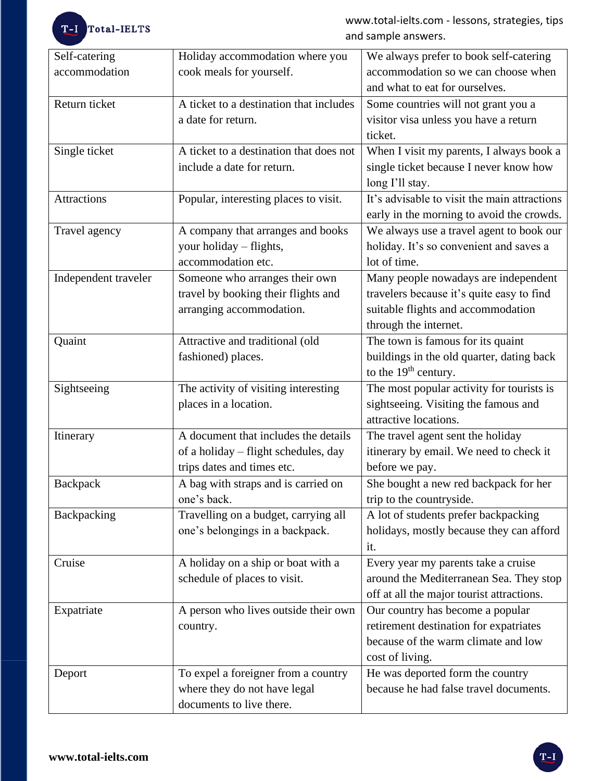T-I Total-IELTS

www.total-ielts.com - lessons, strategies, tips and sample answers.

| Self-catering        | Holiday accommodation where you                    | We always prefer to book self-catering       |
|----------------------|----------------------------------------------------|----------------------------------------------|
| accommodation        | cook meals for yourself.                           | accommodation so we can choose when          |
|                      |                                                    | and what to eat for ourselves.               |
| Return ticket        | A ticket to a destination that includes            | Some countries will not grant you a          |
|                      | a date for return.                                 | visitor visa unless you have a return        |
|                      |                                                    | ticket.                                      |
| Single ticket        | A ticket to a destination that does not            | When I visit my parents, I always book a     |
|                      | include a date for return.                         | single ticket because I never know how       |
|                      |                                                    | long I'll stay.                              |
| <b>Attractions</b>   | Popular, interesting places to visit.              | It's advisable to visit the main attractions |
|                      |                                                    | early in the morning to avoid the crowds.    |
| Travel agency        | A company that arranges and books                  | We always use a travel agent to book our     |
|                      | your holiday – flights,                            | holiday. It's so convenient and saves a      |
|                      | accommodation etc.                                 | lot of time.                                 |
| Independent traveler | Someone who arranges their own                     | Many people nowadays are independent         |
|                      | travel by booking their flights and                | travelers because it's quite easy to find    |
|                      | arranging accommodation.                           | suitable flights and accommodation           |
|                      |                                                    | through the internet.                        |
| Quaint               | Attractive and traditional (old                    | The town is famous for its quaint            |
|                      | fashioned) places.                                 | buildings in the old quarter, dating back    |
|                      |                                                    | to the 19 <sup>th</sup> century.             |
| Sightseeing          | The activity of visiting interesting               | The most popular activity for tourists is    |
|                      | places in a location.                              | sightseeing. Visiting the famous and         |
|                      |                                                    | attractive locations.                        |
| Itinerary            | A document that includes the details               | The travel agent sent the holiday            |
|                      | of a holiday – flight schedules, day               | itinerary by email. We need to check it      |
|                      |                                                    | before we pay.                               |
|                      | trips dates and times etc.                         |                                              |
| Backpack             | A bag with straps and is carried on<br>one's back. | She bought a new red backpack for her        |
|                      |                                                    | trip to the countryside.                     |
| Backpacking          | Travelling on a budget, carrying all               | A lot of students prefer backpacking         |
|                      | one's belongings in a backpack.                    | holidays, mostly because they can afford     |
|                      |                                                    | it.                                          |
| Cruise               | A holiday on a ship or boat with a                 | Every year my parents take a cruise          |
|                      | schedule of places to visit.                       | around the Mediterranean Sea. They stop      |
|                      |                                                    | off at all the major tourist attractions.    |
| Expatriate           | A person who lives outside their own               | Our country has become a popular             |
|                      | country.                                           | retirement destination for expatriates       |
|                      |                                                    | because of the warm climate and low          |
|                      |                                                    | cost of living.                              |
| Deport               | To expel a foreigner from a country                | He was deported form the country             |
|                      | where they do not have legal                       | because he had false travel documents.       |
|                      | documents to live there.                           |                                              |